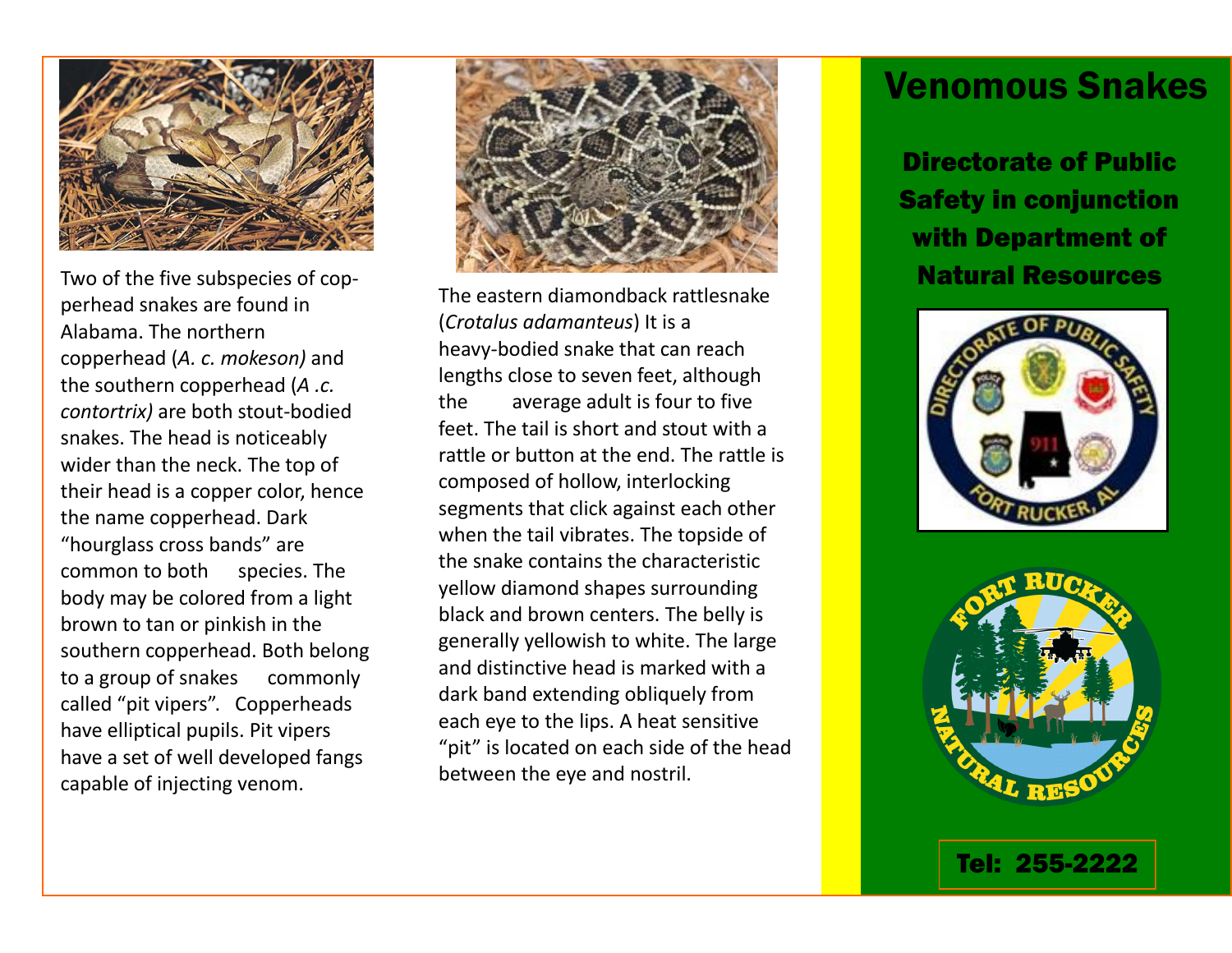

Two of the five subspecies of copperhead snakes are found in Alabama. The northern copperhead (*A. c. mokeson)* and the southern copperhead (*A .c. contortrix)* are both stout-bodied snakes. The head is noticeably wider than the neck. The top of their head is a copper color, hence the name copperhead. Dark "hourglass cross bands" are common to both species. The body may be colored from a light brown to tan or pinkish in the southern copperhead. Both belong to a group of snakes commonly called "pit vipers". Copperheads have elliptical pupils. Pit vipers have a set of well developed fangs capable of injecting venom.



The eastern diamondback rattlesnake (*Crotalus adamanteus*) It is a heavy-bodied snake that can reach lengths close to seven feet, although the average adult is four to five feet. The tail is short and stout with a rattle or button at the end. The rattle is composed of hollow, interlocking segments that click against each other when the tail vibrates. The topside of the snake contains the characteristic yellow diamond shapes surrounding black and brown centers. The belly is generally yellowish to white. The large and distinctive head is marked with a dark band extending obliquely from each eye to the lips. A heat sensitive "pit" is located on each side of the head between the eye and nostril.

## Venomous Snakes

Directorate of Public Safety in conjunction with Department of Natural Resources





Tel: 255-2222